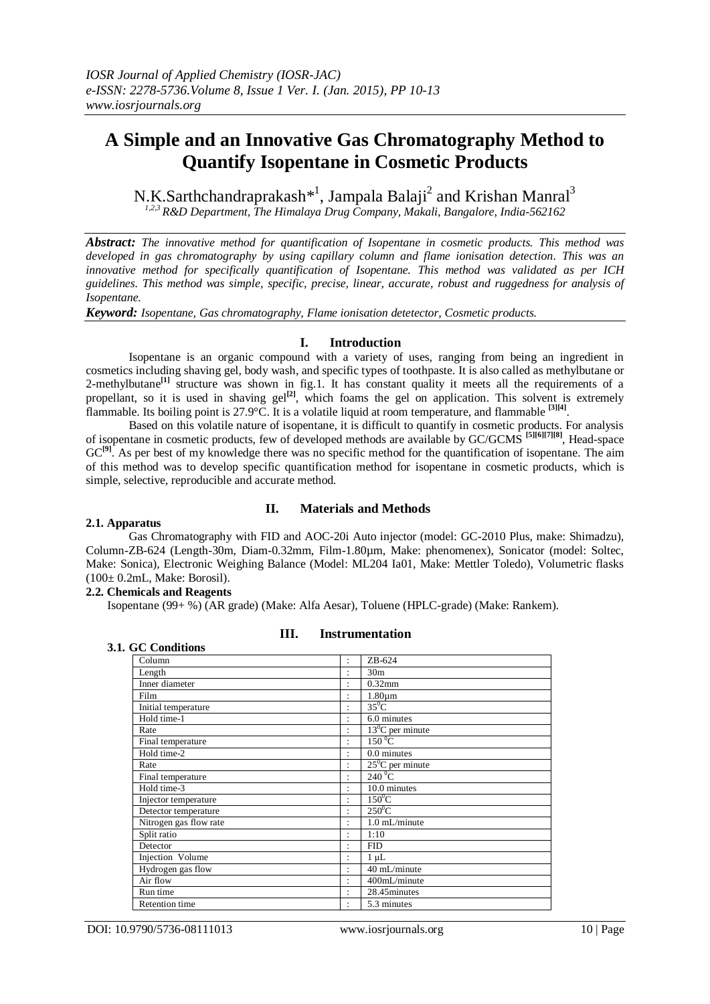# **A Simple and an Innovative Gas Chromatography Method to Quantify Isopentane in Cosmetic Products**

N.K.Sarthchandraprakash\*<sup>1</sup>, Jampala Balaji<sup>2</sup> and Krishan Manral<sup>3</sup> *1,2,3 R&D Department, The Himalaya Drug Company, Makali, Bangalore, India-562162*

*Abstract: The innovative method for quantification of Isopentane in cosmetic products. This method was developed in gas chromatography by using capillary column and flame ionisation detection. This was an innovative method for specifically quantification of Isopentane. This method was validated as per ICH guidelines. This method was simple, specific, precise, linear, accurate, robust and ruggedness for analysis of Isopentane.*

*Keyword: Isopentane, Gas chromatography, Flame ionisation detetector, Cosmetic products.*

# **I. Introduction**

Isopentane is an organic compound with a variety of uses, ranging from being an ingredient in cosmetics including shaving gel, body wash, and specific types of toothpaste. It is also called as methylbutane or 2-methylbutane<sup>[1]</sup> structure was shown in fig.1. It has constant quality it meets all the requirements of a propellant, so it is used in shaving gel<sup>[2]</sup>, which foams the gel on application. This solvent is extremely flammable. Its boiling point is 27.9°C. It is a volatile liquid at room temperature, and flammable **[3][4]** .

Based on this volatile nature of isopentane, it is difficult to quantify in cosmetic products. For analysis of isopentane in cosmetic products, few of developed methods are available by GC/GCMS **[5][6][7][8]**, Head-space GC<sup>[9]</sup>. As per best of my knowledge there was no specific method for the quantification of isopentane. The aim of this method was to develop specific quantification method for isopentane in cosmetic products, which is simple, selective, reproducible and accurate method.

# **II. Materials and Methods**

## **2.1. Apparatus**

Gas Chromatography with FID and AOC-20i Auto injector (model: GC-2010 Plus, make: Shimadzu), Column-ZB-624 (Length-30m, Diam-0.32mm, Film-1.80µm, Make: phenomenex), Sonicator (model: Soltec, Make: Sonica), Electronic Weighing Balance (Model: ML204 Ia01, Make: Mettler Toledo), Volumetric flasks (100± 0.2mL, Make: Borosil).

## **2.2. Chemicals and Reagents**

Isopentane (99+ %) (AR grade) (Make: Alfa Aesar), Toluene (HPLC-grade) (Make: Rankem).

# **3.1. GC Conditions**

# **III. Instrumentation**

| uv vananans            |                      |                           |
|------------------------|----------------------|---------------------------|
| Column                 | $\ddot{\phantom{0}}$ | $ZB-624$                  |
| Length                 | ٠                    | 30 <sub>m</sub>           |
| Inner diameter         | ٠                    | $0.32$ mm                 |
| Film                   | ٠                    | $1.80 \mu m$              |
| Initial temperature    | ٠                    | $35^0$ C                  |
| Hold time-1            | ٠                    | 6.0 minutes               |
| Rate                   |                      | $13^{\circ}$ C per minute |
| Final temperature      | $\bullet$            | $150\,^0C$                |
| Hold time-2            | ٠                    | 0.0 minutes               |
| Rate                   | $\ddot{\phantom{a}}$ | $25^0$ C per minute       |
| Final temperature      | ٠                    | $240\degree$ C            |
| Hold time-3            | ٠                    | 10.0 minutes              |
| Injector temperature   | ٠                    | $150^0$ C                 |
| Detector temperature   | ٠                    | $250^0C$                  |
| Nitrogen gas flow rate | ٠                    | 1.0 mL/minute             |
| Split ratio            | ٠                    | 1:10                      |
| Detector               | ٠                    | <b>FID</b>                |
| Injection Volume       | $\ddot{\phantom{a}}$ | 1 µL                      |
| Hydrogen gas flow      | ٠                    | 40 mL/minute              |
| Air flow               | ٠                    | 400mL/minute              |
| Run time               | ٠                    | 28.45 minutes             |
| <b>Retention</b> time  | ٠                    | 5.3 minutes               |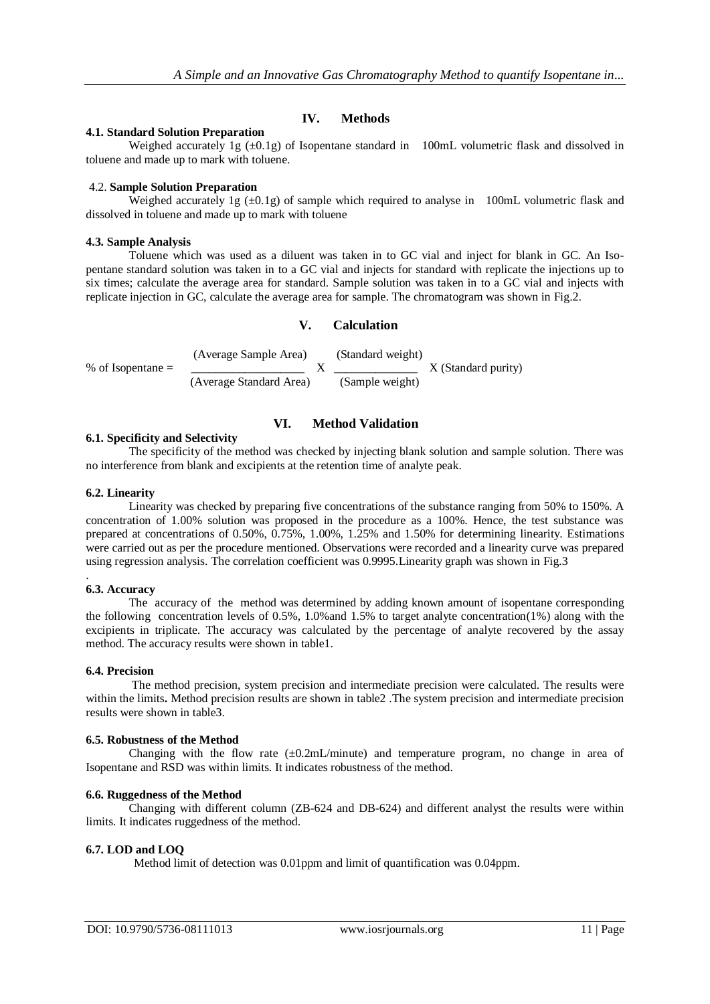# **IV. Methods**

# **4.1. Standard Solution Preparation**

Weighed accurately 1g  $(\pm 0.1g)$  of Isopentane standard in 100mL volumetric flask and dissolved in toluene and made up to mark with toluene.

# 4.2. **Sample Solution Preparation**

Weighed accurately 1g  $(\pm 0.1g)$  of sample which required to analyse in 100mL volumetric flask and dissolved in toluene and made up to mark with toluene

## **4.3. Sample Analysis**

Toluene which was used as a diluent was taken in to GC vial and inject for blank in GC. An Isopentane standard solution was taken in to a GC vial and injects for standard with replicate the injections up to six times; calculate the average area for standard. Sample solution was taken in to a GC vial and injects with replicate injection in GC, calculate the average area for sample. The chromatogram was shown in Fig.2.

# **V. Calculation**

$$
\% of Isopentane = \frac{(Average Sample Area)}{(Average Standard Area)} \times \frac{(Standard weight)}{(Sample weight)} \times (Standard purity)
$$

# **VI. Method Validation**

# **6.1. Specificity and Selectivity**

The specificity of the method was checked by injecting blank solution and sample solution. There was no interference from blank and excipients at the retention time of analyte peak.

## **6.2. Linearity**

Linearity was checked by preparing five concentrations of the substance ranging from 50% to 150%. A concentration of 1.00% solution was proposed in the procedure as a 100%. Hence, the test substance was prepared at concentrations of 0.50%, 0.75%, 1.00%, 1.25% and 1.50% for determining linearity. Estimations were carried out as per the procedure mentioned. Observations were recorded and a linearity curve was prepared using regression analysis. The correlation coefficient was 0.9995.Linearity graph was shown in Fig.3

## **6.3. Accuracy**

.

The accuracy of the method was determined by adding known amount of isopentane corresponding the following concentration levels of 0.5%, 1.0%and 1.5% to target analyte concentration(1%) along with the excipients in triplicate. The accuracy was calculated by the percentage of analyte recovered by the assay method. The accuracy results were shown in table1.

## **6.4. Precision**

The method precision, system precision and intermediate precision were calculated. The results were within the limits. Method precision results are shown in table2. The system precision and intermediate precision results were shown in table3.

## **6.5. Robustness of the Method**

Changing with the flow rate  $(\pm 0.2$ mL/minute) and temperature program, no change in area of Isopentane and RSD was within limits. It indicates robustness of the method.

# **6.6. Ruggedness of the Method**

Changing with different column (ZB-624 and DB-624) and different analyst the results were within limits. It indicates ruggedness of the method.

## **6.7. LOD and LOQ**

Method limit of detection was 0.01ppm and limit of quantification was 0.04ppm.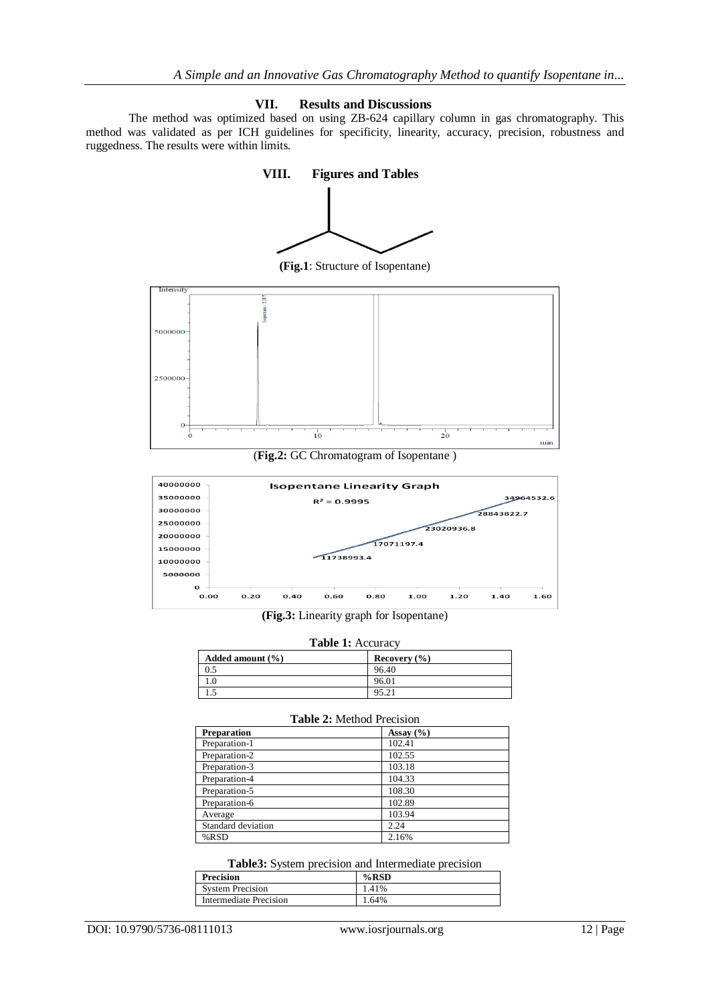# **VII. Results and Discussions**

The method was optimized based on using ZB-624 capillary column in gas chromatography. This method was validated as per ICH guidelines for specificity, linearity, accuracy, precision, robustness and ruggedness. The results were within limits.





**(Fig.3:** Linearity graph for Isopentane)

**Table 1:** Accuracy

| $1.4012$ $1.100$ and $0.70$ |                  |  |
|-----------------------------|------------------|--|
| Added amount $(\% )$        | Recovery $(\% )$ |  |
| 0.5                         | 96.40            |  |
|                             | 96.01            |  |
|                             | 95.21            |  |

| <b>Table 2:</b> Method Precision |               |  |
|----------------------------------|---------------|--|
| <b>Preparation</b>               | Assay $(\% )$ |  |
| Preparation-1                    | 102.41        |  |
| Preparation-2                    | 102.55        |  |
| Preparation-3                    | 103.18        |  |
| Preparation-4                    | 104.33        |  |
| Preparation-5                    | 108.30        |  |
| Preparation-6                    | 102.89        |  |
| Average                          | 103.94        |  |
| Standard deviation               | 2.24          |  |
| %RSD                             | 2.16%         |  |

#### **Table3:** System precision and Intermediate precision

| <b>Precision</b>        | $%$ RSD |
|-------------------------|---------|
| <b>System Precision</b> | 1.41%   |
| Intermediate Precision  | 1.64%   |